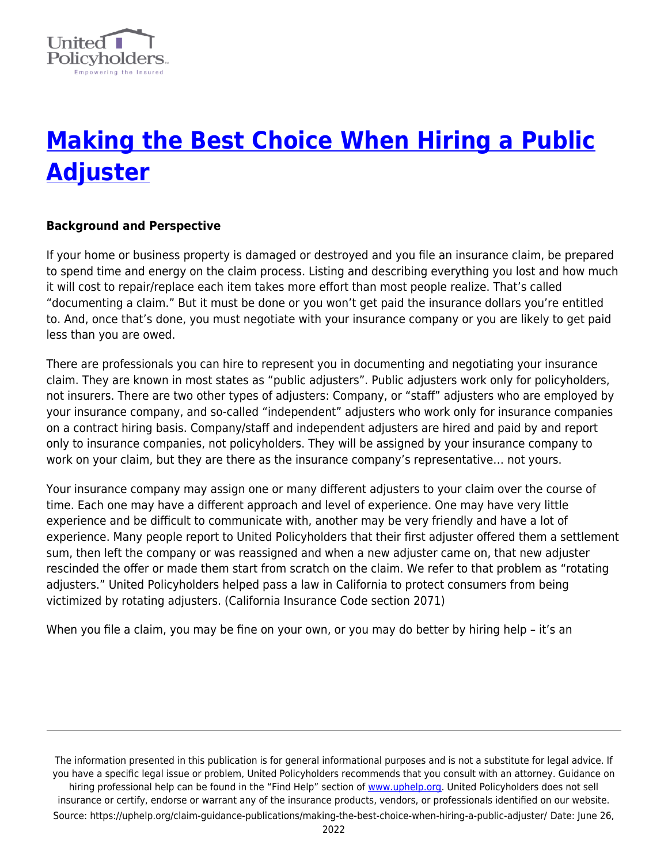

# **[Making the Best Choice When Hiring a Public](https://uphelp.org/claim-guidance-publications/making-the-best-choice-when-hiring-a-public-adjuster/) [Adjuster](https://uphelp.org/claim-guidance-publications/making-the-best-choice-when-hiring-a-public-adjuster/)**

## **Background and Perspective**

If your home or business property is damaged or destroyed and you file an insurance claim, be prepared to spend time and energy on the claim process. Listing and describing everything you lost and how much it will cost to repair/replace each item takes more effort than most people realize. That's called "documenting a claim." But it must be done or you won't get paid the insurance dollars you're entitled to. And, once that's done, you must negotiate with your insurance company or you are likely to get paid less than you are owed.

There are professionals you can hire to represent you in documenting and negotiating your insurance claim. They are known in most states as "public adjusters". Public adjusters work only for policyholders, not insurers. There are two other types of adjusters: Company, or "staff" adjusters who are employed by your insurance company, and so-called "independent" adjusters who work only for insurance companies on a contract hiring basis. Company/staff and independent adjusters are hired and paid by and report only to insurance companies, not policyholders. They will be assigned by your insurance company to work on your claim, but they are there as the insurance company's representative… not yours.

Your insurance company may assign one or many different adjusters to your claim over the course of time. Each one may have a different approach and level of experience. One may have very little experience and be difficult to communicate with, another may be very friendly and have a lot of experience. Many people report to United Policyholders that their first adjuster offered them a settlement sum, then left the company or was reassigned and when a new adjuster came on, that new adjuster rescinded the offer or made them start from scratch on the claim. We refer to that problem as "rotating adjusters." United Policyholders helped pass a law in California to protect consumers from being victimized by rotating adjusters. (California Insurance Code section 2071)

When you file a claim, you may be fine on your own, or you may do better by hiring help - it's an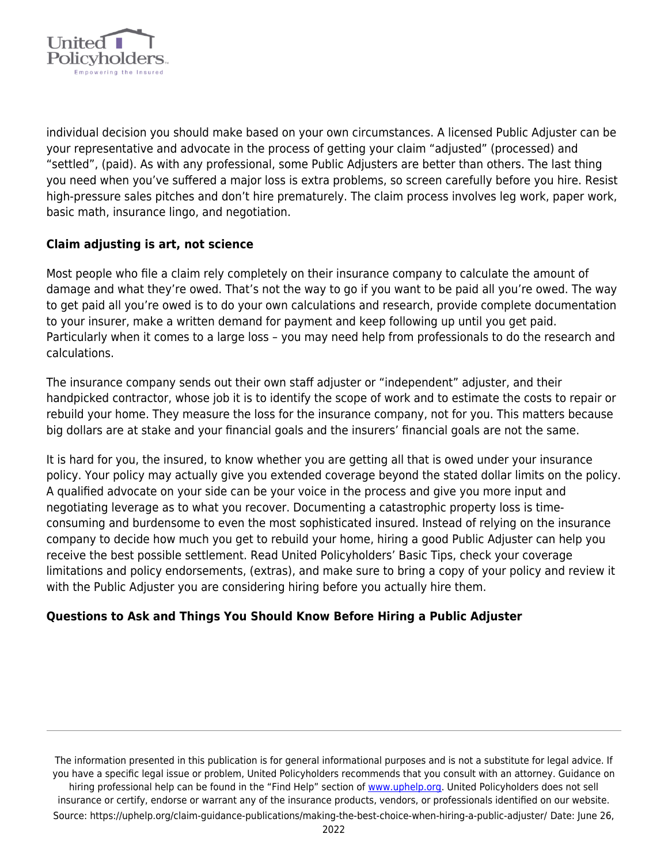

individual decision you should make based on your own circumstances. A licensed Public Adjuster can be your representative and advocate in the process of getting your claim "adjusted" (processed) and "settled", (paid). As with any professional, some Public Adjusters are better than others. The last thing you need when you've suffered a major loss is extra problems, so screen carefully before you hire. Resist high-pressure sales pitches and don't hire prematurely. The claim process involves leg work, paper work, basic math, insurance lingo, and negotiation.

### **Claim adjusting is art, not science**

Most people who file a claim rely completely on their insurance company to calculate the amount of damage and what they're owed. That's not the way to go if you want to be paid all you're owed. The way to get paid all you're owed is to do your own calculations and research, provide complete documentation to your insurer, make a written demand for payment and keep following up until you get paid. Particularly when it comes to a large loss – you may need help from professionals to do the research and calculations.

The insurance company sends out their own staff adjuster or "independent" adjuster, and their handpicked contractor, whose job it is to identify the scope of work and to estimate the costs to repair or rebuild your home. They measure the loss for the insurance company, not for you. This matters because big dollars are at stake and your financial goals and the insurers' financial goals are not the same.

It is hard for you, the insured, to know whether you are getting all that is owed under your insurance policy. Your policy may actually give you extended coverage beyond the stated dollar limits on the policy. A qualified advocate on your side can be your voice in the process and give you more input and negotiating leverage as to what you recover. Documenting a catastrophic property loss is timeconsuming and burdensome to even the most sophisticated insured. Instead of relying on the insurance company to decide how much you get to rebuild your home, hiring a good Public Adjuster can help you receive the best possible settlement. Read United Policyholders' Basic Tips, check your coverage limitations and policy endorsements, (extras), and make sure to bring a copy of your policy and review it with the Public Adjuster you are considering hiring before you actually hire them.

### **Questions to Ask and Things You Should Know Before Hiring a Public Adjuster**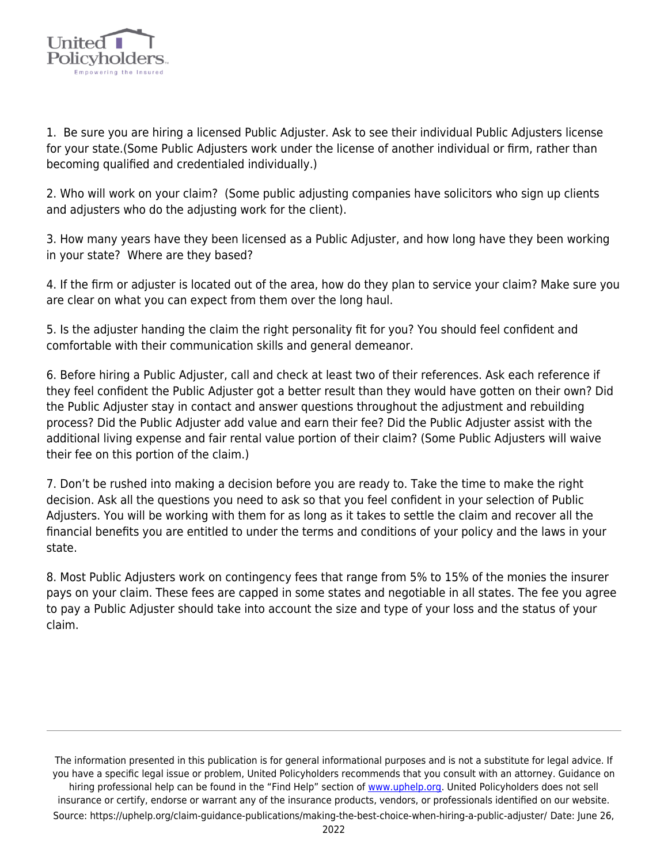

1. Be sure you are hiring a licensed Public Adjuster. Ask to see their individual Public Adjusters license for your state.(Some Public Adjusters work under the license of another individual or firm, rather than becoming qualified and credentialed individually.)

2. Who will work on your claim? (Some public adjusting companies have solicitors who sign up clients and adjusters who do the adjusting work for the client).

3. How many years have they been licensed as a Public Adjuster, and how long have they been working in your state? Where are they based?

4. If the firm or adjuster is located out of the area, how do they plan to service your claim? Make sure you are clear on what you can expect from them over the long haul.

5. Is the adjuster handing the claim the right personality fit for you? You should feel confident and comfortable with their communication skills and general demeanor.

6. Before hiring a Public Adjuster, call and check at least two of their references. Ask each reference if they feel confident the Public Adjuster got a better result than they would have gotten on their own? Did the Public Adjuster stay in contact and answer questions throughout the adjustment and rebuilding process? Did the Public Adjuster add value and earn their fee? Did the Public Adjuster assist with the additional living expense and fair rental value portion of their claim? (Some Public Adjusters will waive their fee on this portion of the claim.)

7. Don't be rushed into making a decision before you are ready to. Take the time to make the right decision. Ask all the questions you need to ask so that you feel confident in your selection of Public Adjusters. You will be working with them for as long as it takes to settle the claim and recover all the financial benefits you are entitled to under the terms and conditions of your policy and the laws in your state.

8. Most Public Adjusters work on contingency fees that range from 5% to 15% of the monies the insurer pays on your claim. These fees are capped in some states and negotiable in all states. The fee you agree to pay a Public Adjuster should take into account the size and type of your loss and the status of your claim.